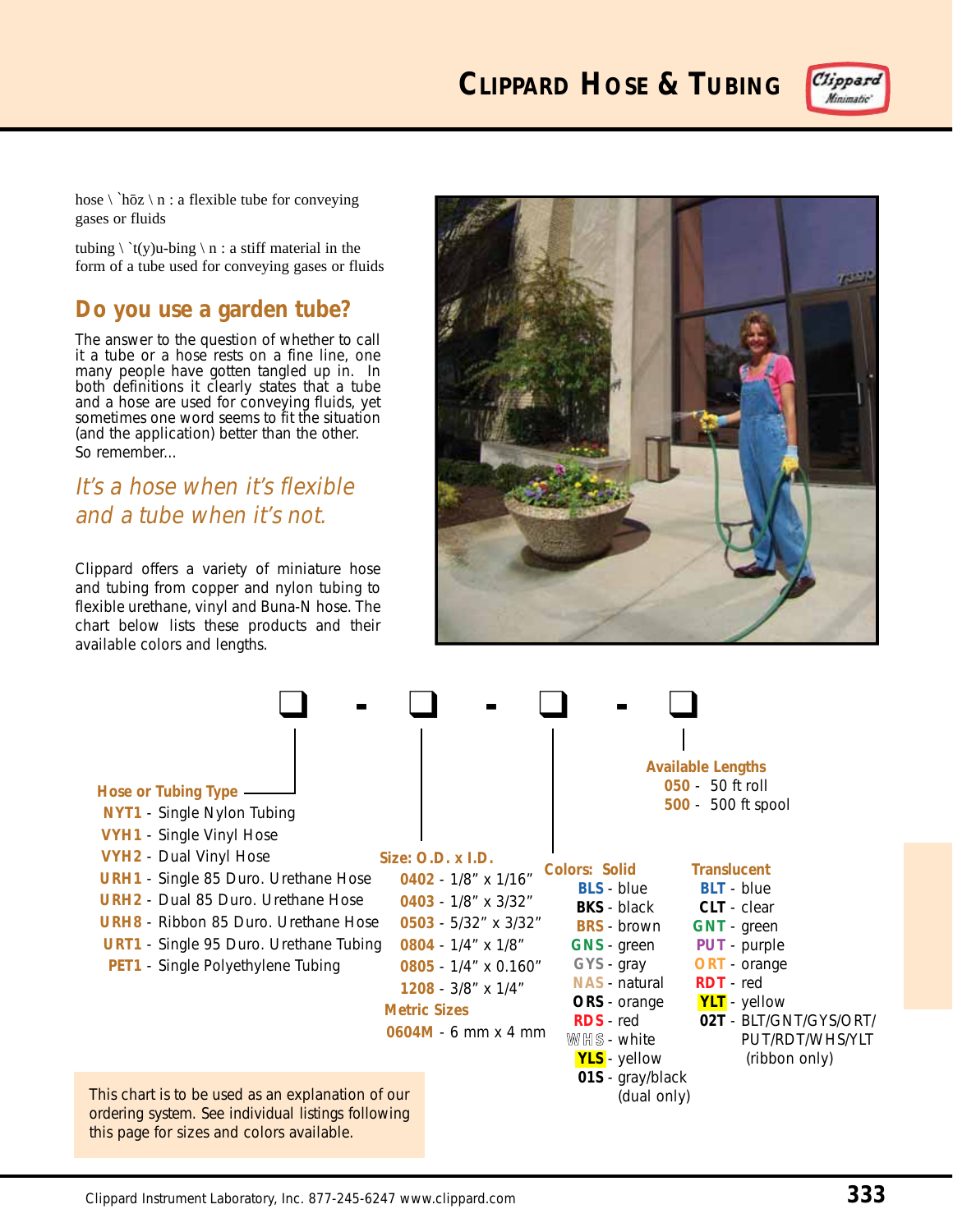**CLIPPARD HOSE & TUBING**



hose  $\langle \Delta n : a \rangle$  flexible tube for conveying gases or fluids

tubing  $\setminus^t(y)$ u-bing  $\setminus n$  : a stiff material in the form of a tube used for conveying gases or fluids

### **Do you use a garden tube?**

The answer to the question of whether to call it a tube or a hose rests on a fine line, one many people have gotten tangled up in. In both definitions it clearly states that a tube and a hose are used for conveying fluids, yet sometimes one word seems to fit the situation (and the application) better than the other. So remember...

## It's a hose when it's flexible and a tube when it's not.

Clippard offers a variety of miniature hose and tubing from copper and nylon tubing to flexible urethane, vinyl and Buna-N hose. The chart below lists these products and their available colors and lengths.



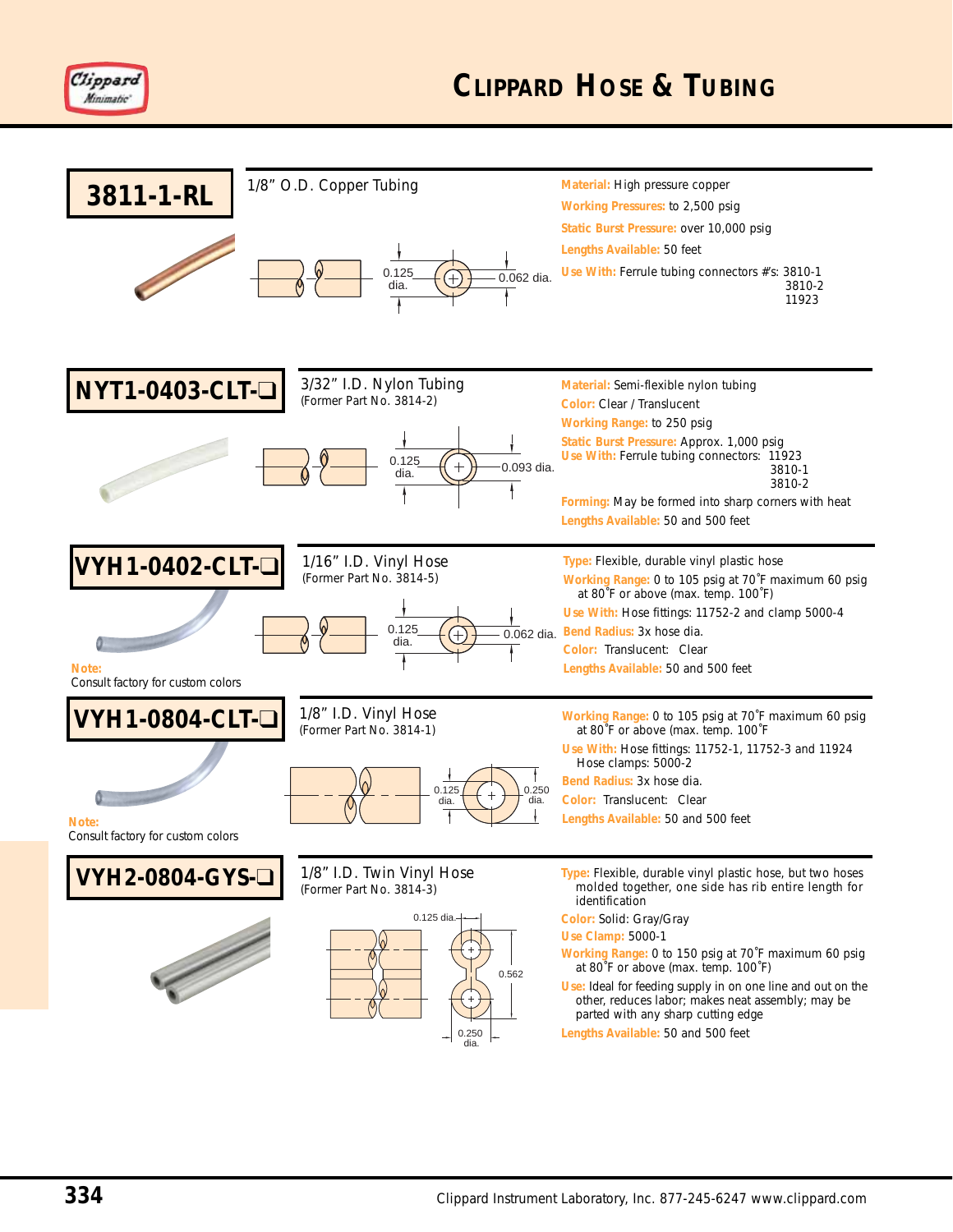

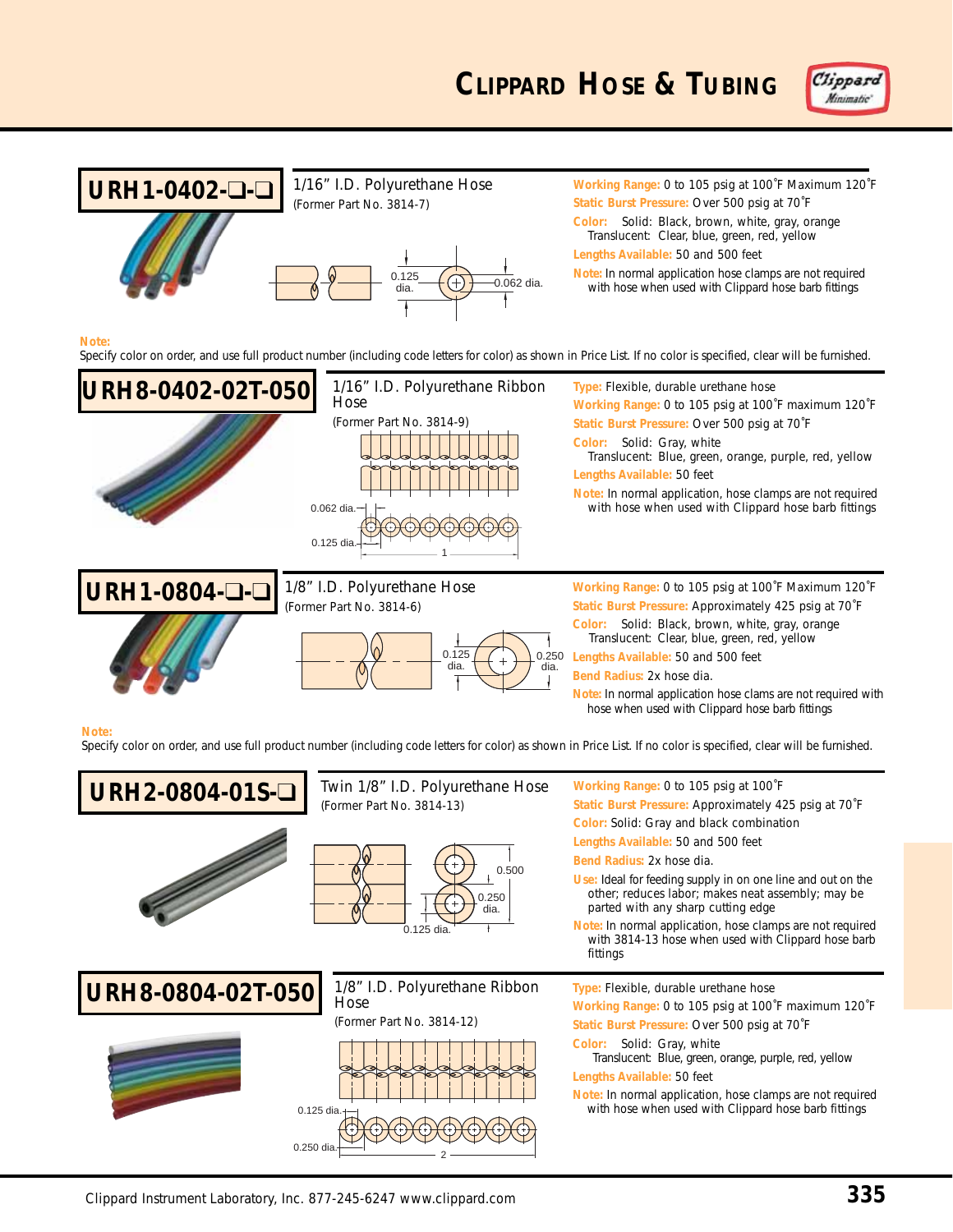

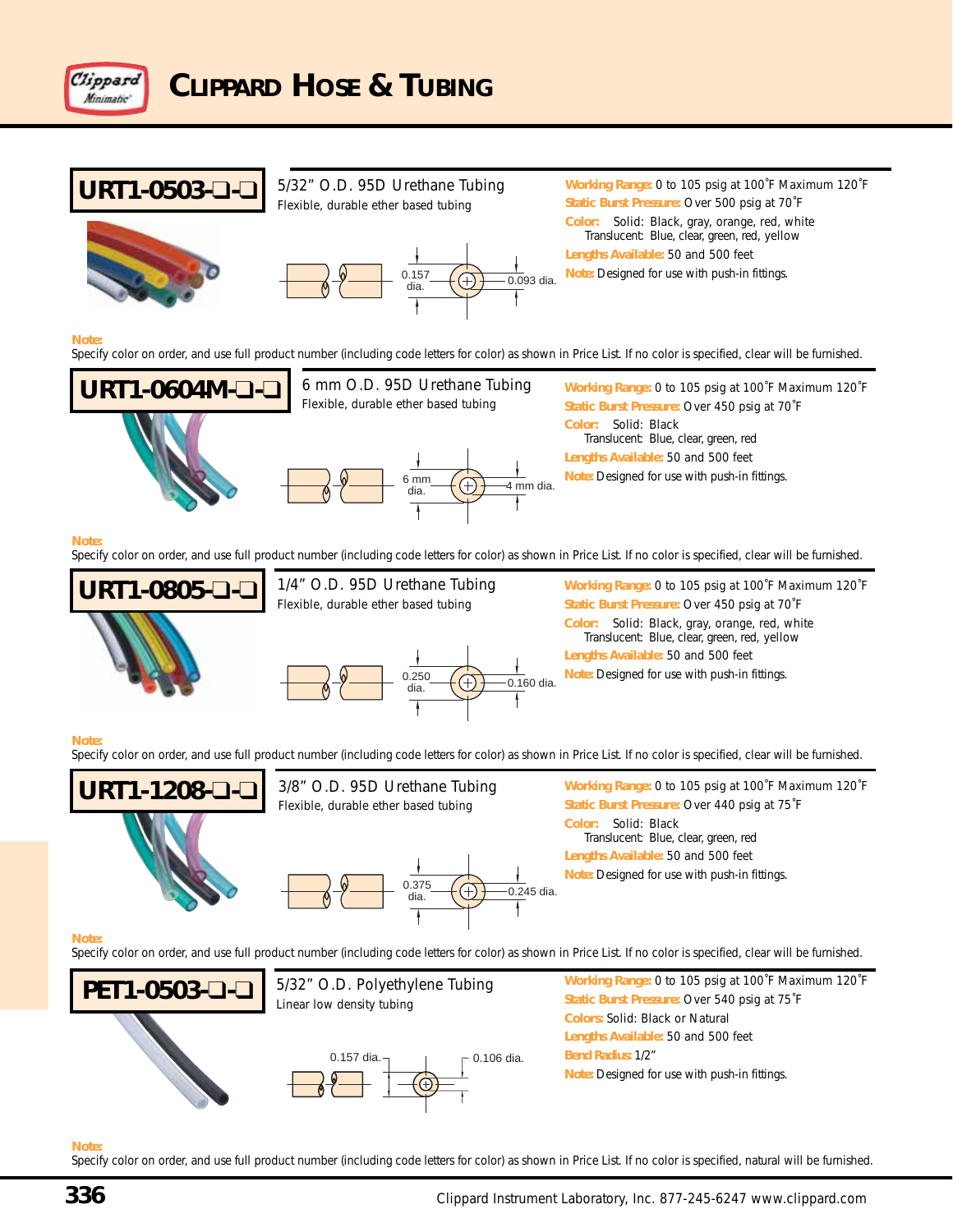

# **URT1-0503-**❑**-**❑







**Working Range:** 0 to 105 psig at 100˚F Maximum 120˚F **Static Burst Pressure:** Over 500 psig at 70˚F **Color:** Solid: Black, gray, orange, red, white Translucent: Blue, clear, green, red, yellow **Lengths Available:** 50 and 500 feet

#### **Note:**

Specify color on order, and use full product number (including code letters for color) as shown in Price List. If no color is specified, clear will be furnished.





**Working Range:** 0 to 105 psig at 100˚F Maximum 120˚F **Static Burst Pressure:** Over 450 psig at 70˚F **Color:** Solid: Black Translucent: Blue, clear, green, red **Lengths Available:** 50 and 500 feet 6 mm (<del>1)</del> 4 mm dia. Note: Designed for use with push-in fittings.

#### **Note:**

Specify color on order, and use full product number (including code letters for color) as shown in Price List. If no color is specified, clear will be furnished.





1/4" O.D. 95D Urethane Tubing

**Working Range:** 0 to 105 psig at 100˚F Maximum 120˚F **Static Burst Pressure:** Over 450 psig at 70˚F **Color:** Solid: Black, gray, orange, red, white Translucent: Blue, clear, green, red, yellow **Lengths Available:** 50 and 500 feet **Note:** Designed for use with push-in fittings.

#### **Note:**

Specify color on order, and use full product number (including code letters for color) as shown in Price List. If no color is specified, clear will be furnished.







**Working Range:** 0 to 105 psig at 100˚F Maximum 120˚F **Static Burst Pressure:** Over 440 psig at 75˚F **Color:** Solid: Black Translucent: Blue, clear, green, red **Lengths Available:** 50 and 500 feet **Note:** Designed for use with push-in fittings.

#### **Note:**

Specify color on order, and use full product number (including code letters for color) as shown in Price List. If no color is specified, clear will be furnished.



#### **Note:**

Specify color on order, and use full product number (including code letters for color) as shown in Price List. If no color is specified, natural will be furnished.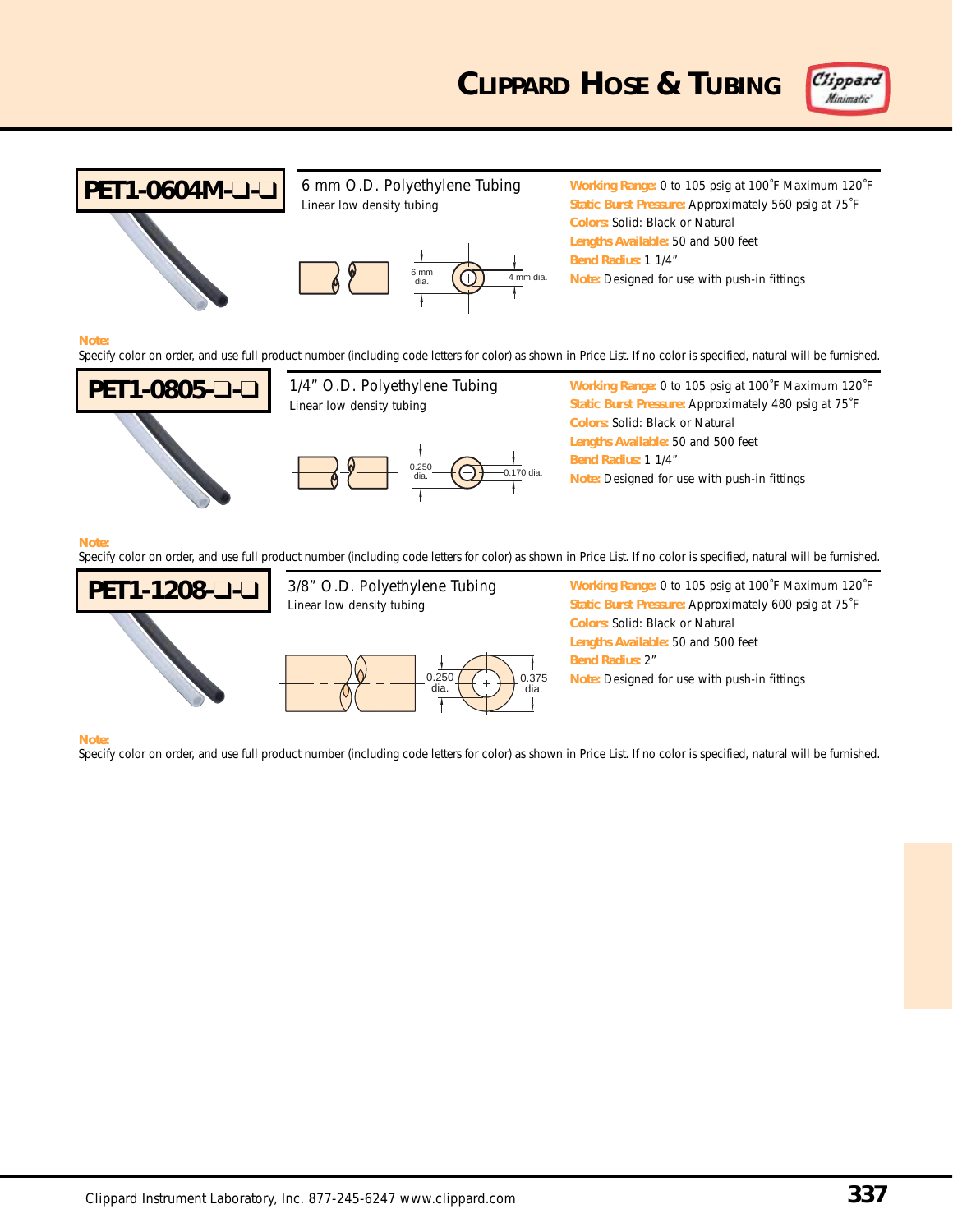



#### **Note:**

Specify color on order, and use full product number (including code letters for color) as shown in Price List. If no color is specified, natural will be furnished.